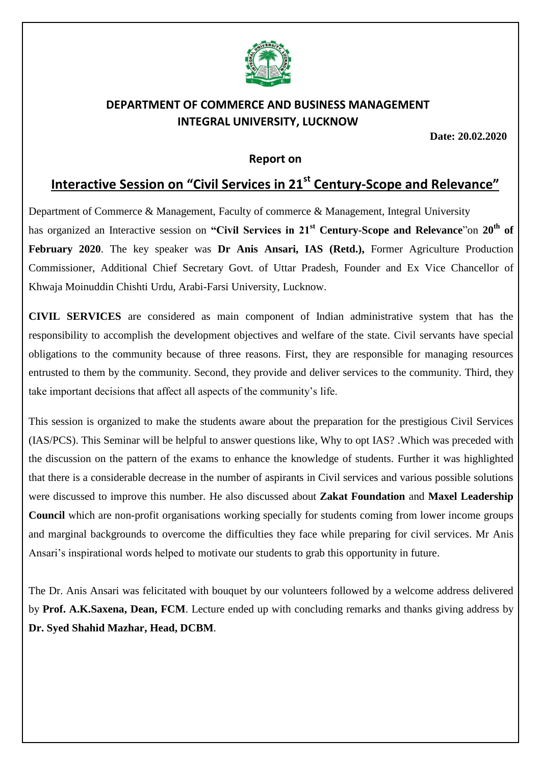

## **DEPARTMENT OF COMMERCE AND BUSINESS MANAGEMENT INTEGRAL UNIVERSITY, LUCKNOW**

**Date: 20.02.2020**

## **Report on**

## **Interactive Session on "Civil Services in 21st Century-Scope and Relevance"**

Department of Commerce & Management, Faculty of commerce & Management, Integral University has organized an Interactive session on **"Civil Services in 21st Century-Scope and Relevance**"on **20th of February 2020**. The key speaker was **Dr Anis Ansari, IAS (Retd.),** Former Agriculture Production Commissioner, Additional Chief Secretary Govt. of Uttar Pradesh, Founder and Ex Vice Chancellor of Khwaja Moinuddin Chishti Urdu, Arabi-Farsi University, Lucknow.

**CIVIL SERVICES** are considered as main component of Indian administrative system that has the responsibility to accomplish the development objectives and welfare of the state. Civil servants have special obligations to the community because of three reasons. First, they are responsible for managing resources entrusted to them by the community. Second, they provide and deliver services to the community. Third, they take important decisions that affect all aspects of the community's life.

 This session is organized to make the students aware about the preparation for the prestigious Civil Services (IAS/PCS). This Seminar will be helpful to answer questions like, Why to opt IAS? .Which was preceded with the discussion on the pattern of the exams to enhance the knowledge of students. Further it was highlighted that there is a considerable decrease in the number of aspirants in Civil services and various possible solutions were discussed to improve this number. He also discussed about **Zakat Foundation** and **Maxel Leadership Council** which are non-profit organisations working specially for students coming from lower income groups and marginal backgrounds to overcome the difficulties they face while preparing for civil services. Mr Anis Ansari's inspirational words helped to motivate our students to grab this opportunity in future.

The Dr. Anis Ansari was felicitated with bouquet by our volunteers followed by a welcome address delivered by **Prof. A.K.Saxena, Dean, FCM**. Lecture ended up with concluding remarks and thanks giving address by **Dr. Syed Shahid Mazhar, Head, DCBM**.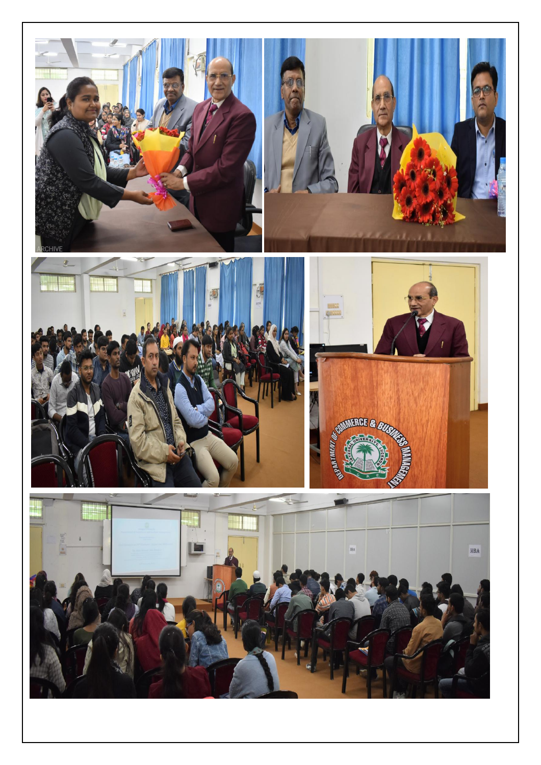